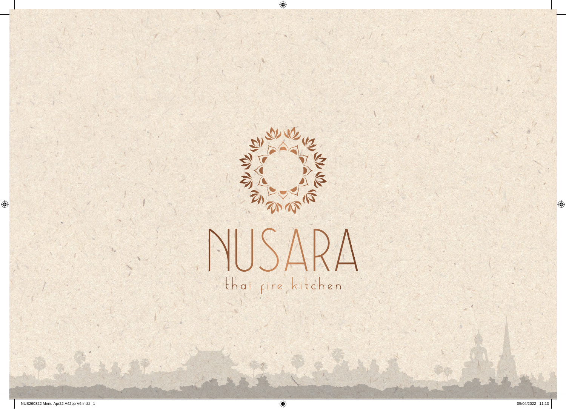